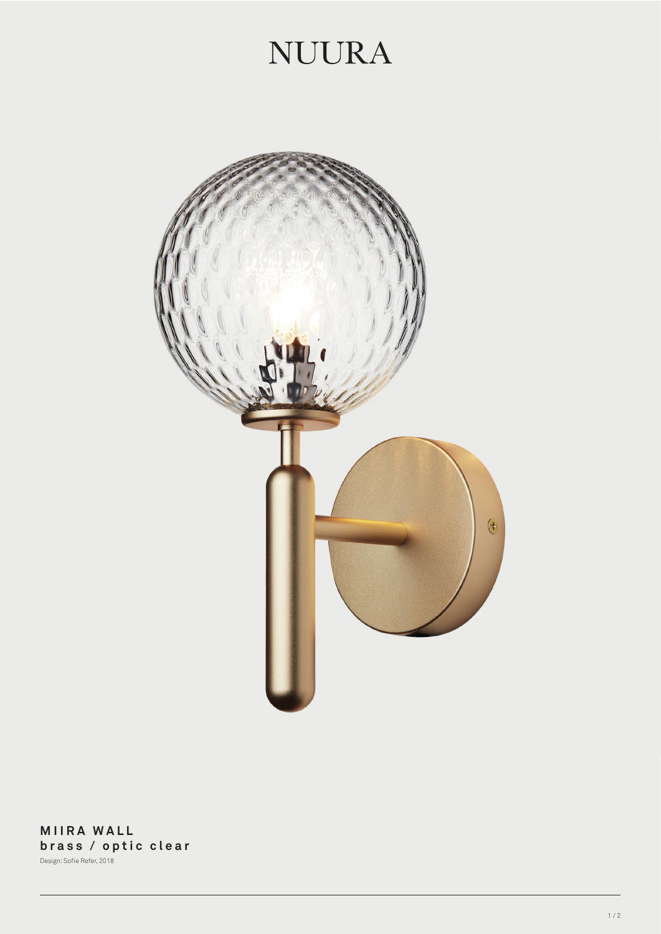## **NUURA**



**MIIRA WALL brass / optic clear** Design: Sofie Refer, 2018